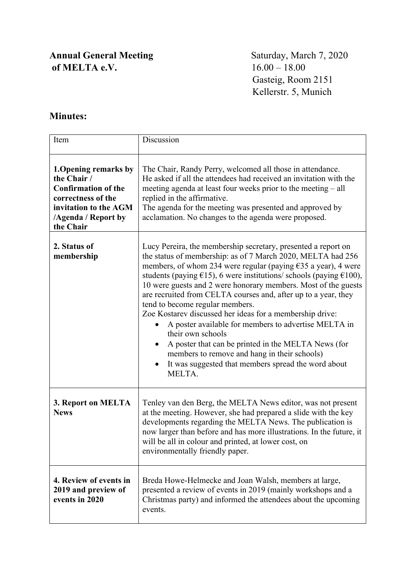## **Annual General Meeting** Saturday, March 7, 2020<br> **of MELTA e.V.** 16.00 – 18.00 of **MELTA** e.V.

 Gasteig, Room 2151 Kellerstr. 5, Munich

## **Minutes:**

| Item                                                                                                                                                         | Discussion                                                                                                                                                                                                                                                                                                                                                                                                                                                                                                                                                                                                                                                                                                                                                                  |
|--------------------------------------------------------------------------------------------------------------------------------------------------------------|-----------------------------------------------------------------------------------------------------------------------------------------------------------------------------------------------------------------------------------------------------------------------------------------------------------------------------------------------------------------------------------------------------------------------------------------------------------------------------------------------------------------------------------------------------------------------------------------------------------------------------------------------------------------------------------------------------------------------------------------------------------------------------|
| 1. Opening remarks by<br>the Chair /<br><b>Confirmation of the</b><br>correctness of the<br>invitation to the AGM<br><b>/Agenda / Report by</b><br>the Chair | The Chair, Randy Perry, welcomed all those in attendance.<br>He asked if all the attendees had received an invitation with the<br>meeting agenda at least four weeks prior to the meeting – all<br>replied in the affirmative.<br>The agenda for the meeting was presented and approved by<br>acclamation. No changes to the agenda were proposed.                                                                                                                                                                                                                                                                                                                                                                                                                          |
| 2. Status of<br>membership                                                                                                                                   | Lucy Pereira, the membership secretary, presented a report on<br>the status of membership: as of 7 March 2020, MELTA had 256<br>members, of whom 234 were regular (paying $\epsilon$ 35 a year), 4 were<br>students (paying $£15$ ), 6 were institutions/ schools (paying $£100$ ),<br>10 were guests and 2 were honorary members. Most of the guests<br>are recruited from CELTA courses and, after up to a year, they<br>tend to become regular members.<br>Zoe Kostarev discussed her ideas for a membership drive:<br>A poster available for members to advertise MELTA in<br>their own schools<br>A poster that can be printed in the MELTA News (for<br>members to remove and hang in their schools)<br>It was suggested that members spread the word about<br>MELTA. |
| 3. Report on MELTA<br><b>News</b>                                                                                                                            | Tenley van den Berg, the MELTA News editor, was not present<br>at the meeting. However, she had prepared a slide with the key<br>developments regarding the MELTA News. The publication is<br>now larger than before and has more illustrations. In the future, it<br>will be all in colour and printed, at lower cost, on<br>environmentally friendly paper.                                                                                                                                                                                                                                                                                                                                                                                                               |
| 4. Review of events in<br>2019 and preview of<br>events in 2020                                                                                              | Breda Howe-Helmecke and Joan Walsh, members at large,<br>presented a review of events in 2019 (mainly workshops and a<br>Christmas party) and informed the attendees about the upcoming<br>events.                                                                                                                                                                                                                                                                                                                                                                                                                                                                                                                                                                          |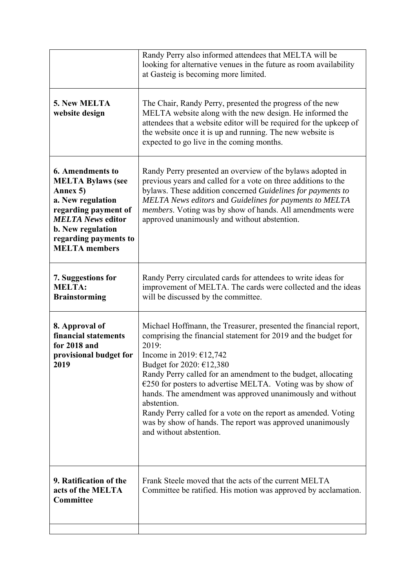|                                                                                                                                                                                                                       | Randy Perry also informed attendees that MELTA will be<br>looking for alternative venues in the future as room availability<br>at Gasteig is becoming more limited.                                                                                                                                                                                                                                                                                                                                                                                                         |
|-----------------------------------------------------------------------------------------------------------------------------------------------------------------------------------------------------------------------|-----------------------------------------------------------------------------------------------------------------------------------------------------------------------------------------------------------------------------------------------------------------------------------------------------------------------------------------------------------------------------------------------------------------------------------------------------------------------------------------------------------------------------------------------------------------------------|
| 5. New MELTA<br>website design                                                                                                                                                                                        | The Chair, Randy Perry, presented the progress of the new<br>MELTA website along with the new design. He informed the<br>attendees that a website editor will be required for the upkeep of<br>the website once it is up and running. The new website is<br>expected to go live in the coming months.                                                                                                                                                                                                                                                                       |
| <b>6. Amendments to</b><br><b>MELTA Bylaws (see</b><br>Annex 5)<br>a. New regulation<br>regarding payment of<br><b>MELTA News editor</b><br><b>b.</b> New regulation<br>regarding payments to<br><b>MELTA</b> members | Randy Perry presented an overview of the bylaws adopted in<br>previous years and called for a vote on three additions to the<br>bylaws. These addition concerned Guidelines for payments to<br>MELTA News editors and Guidelines for payments to MELTA<br>members. Voting was by show of hands. All amendments were<br>approved unanimously and without abstention.                                                                                                                                                                                                         |
| 7. Suggestions for<br><b>MELTA:</b><br><b>Brainstorming</b>                                                                                                                                                           | Randy Perry circulated cards for attendees to write ideas for<br>improvement of MELTA. The cards were collected and the ideas<br>will be discussed by the committee.                                                                                                                                                                                                                                                                                                                                                                                                        |
| 8. Approval of<br>financial statements<br>for 2018 and<br>provisional budget for<br>2019                                                                                                                              | Michael Hoffmann, the Treasurer, presented the financial report,<br>comprising the financial statement for 2019 and the budget for<br>2019:<br>Income in 2019: €12,742<br>Budget for 2020: $£12,380$<br>Randy Perry called for an amendment to the budget, allocating<br>$E250$ for posters to advertise MELTA. Voting was by show of<br>hands. The amendment was approved unanimously and without<br>abstention.<br>Randy Perry called for a vote on the report as amended. Voting<br>was by show of hands. The report was approved unanimously<br>and without abstention. |
| 9. Ratification of the<br>acts of the MELTA<br>Committee                                                                                                                                                              | Frank Steele moved that the acts of the current MELTA<br>Committee be ratified. His motion was approved by acclamation.                                                                                                                                                                                                                                                                                                                                                                                                                                                     |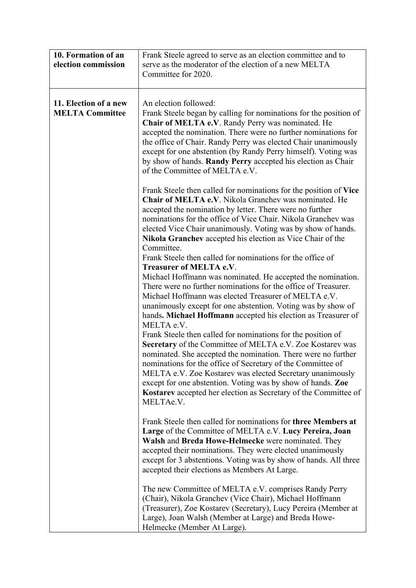| 10. Formation of an<br>election commission      | Frank Steele agreed to serve as an election committee and to<br>serve as the moderator of the election of a new MELTA<br>Committee for 2020.                                                                                                                                                                                                                                                                                                                          |
|-------------------------------------------------|-----------------------------------------------------------------------------------------------------------------------------------------------------------------------------------------------------------------------------------------------------------------------------------------------------------------------------------------------------------------------------------------------------------------------------------------------------------------------|
| 11. Election of a new<br><b>MELTA Committee</b> | An election followed:<br>Frank Steele began by calling for nominations for the position of<br>Chair of MELTA e.V. Randy Perry was nominated. He<br>accepted the nomination. There were no further nominations for<br>the office of Chair. Randy Perry was elected Chair unanimously<br>except for one abstention (by Randy Perry himself). Voting was<br>by show of hands. Randy Perry accepted his election as Chair<br>of the Committee of MELTA e.V.               |
|                                                 | Frank Steele then called for nominations for the position of Vice<br>Chair of MELTA e.V. Nikola Granchev was nominated. He<br>accepted the nomination by letter. There were no further<br>nominations for the office of Vice Chair. Nikola Granchev was<br>elected Vice Chair unanimously. Voting was by show of hands.<br>Nikola Granchev accepted his election as Vice Chair of the<br>Committee.                                                                   |
|                                                 | Frank Steele then called for nominations for the office of<br>Treasurer of MELTA e.V.<br>Michael Hoffmann was nominated. He accepted the nomination.<br>There were no further nominations for the office of Treasurer.                                                                                                                                                                                                                                                |
|                                                 | Michael Hoffmann was elected Treasurer of MELTA e.V.<br>unanimously except for one abstention. Voting was by show of<br>hands. Michael Hoffmann accepted his election as Treasurer of<br>MELTA e.V.                                                                                                                                                                                                                                                                   |
|                                                 | Frank Steele then called for nominations for the position of<br>Secretary of the Committee of MELTA e.V. Zoe Kostarev was<br>nominated. She accepted the nomination. There were no further<br>nominations for the office of Secretary of the Committee of<br>MELTA e.V. Zoe Kostarev was elected Secretary unanimously<br>except for one abstention. Voting was by show of hands. Zoe<br>Kostarev accepted her election as Secretary of the Committee of<br>MELTAe.V. |
|                                                 | Frank Steele then called for nominations for three Members at<br>Large of the Committee of MELTA e.V. Lucy Pereira, Joan<br>Walsh and Breda Howe-Helmecke were nominated. They<br>accepted their nominations. They were elected unanimously<br>except for 3 abstentions. Voting was by show of hands. All three<br>accepted their elections as Members At Large.                                                                                                      |
|                                                 | The new Committee of MELTA e.V. comprises Randy Perry<br>(Chair), Nikola Granchev (Vice Chair), Michael Hoffmann<br>(Treasurer), Zoe Kostarev (Secretary), Lucy Pereira (Member at<br>Large), Joan Walsh (Member at Large) and Breda Howe-<br>Helmecke (Member At Large).                                                                                                                                                                                             |